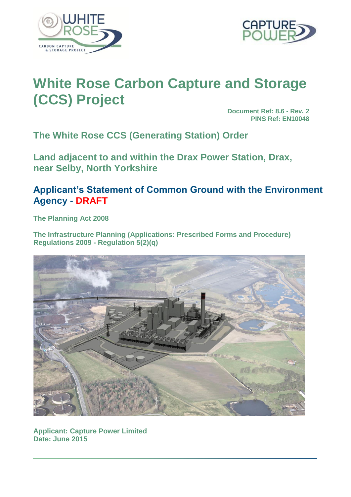



# **White Rose Carbon Capture and Storage (CCS) Project**

**Document Ref: 8.6 - Rev. 2 PINS Ref: EN10048**

**The White Rose CCS (Generating Station) Order**

**Land adjacent to and within the Drax Power Station, Drax, near Selby, North Yorkshire**

## **Applicant's Statement of Common Ground with the Environment Agency - DRAFT**

**The Planning Act 2008**

**The Infrastructure Planning (Applications: Prescribed Forms and Procedure) Regulations 2009 - Regulation 5(2)(q)**



**Applicant: Capture Power Limited Date: June 2015**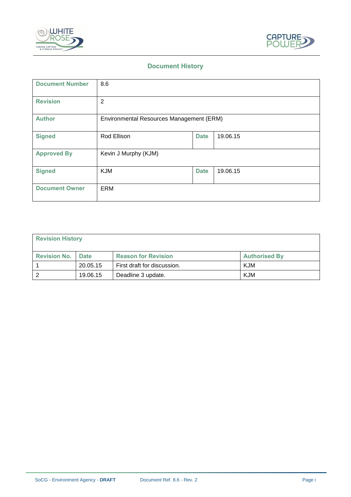



## **Document History**

| <b>Document Number</b> | 8.6                                      |             |          |  |
|------------------------|------------------------------------------|-------------|----------|--|
| <b>Revision</b>        | $\overline{2}$                           |             |          |  |
| <b>Author</b>          | Environmental Resources Management (ERM) |             |          |  |
| <b>Signed</b>          | Rod Ellison                              | <b>Date</b> | 19.06.15 |  |
| <b>Approved By</b>     | Kevin J Murphy (KJM)                     |             |          |  |
| <b>Signed</b>          | <b>KJM</b>                               | <b>Date</b> | 19.06.15 |  |
| <b>Document Owner</b>  | ERM                                      |             |          |  |

| <b>Revision History</b> |             |                             |                      |  |  |  |
|-------------------------|-------------|-----------------------------|----------------------|--|--|--|
| <b>Revision No.</b>     | <b>Date</b> | <b>Reason for Revision</b>  | <b>Authorised By</b> |  |  |  |
|                         | 20.05.15    | First draft for discussion. | KJM                  |  |  |  |
|                         | 19.06.15    | Deadline 3 update.          | KJM                  |  |  |  |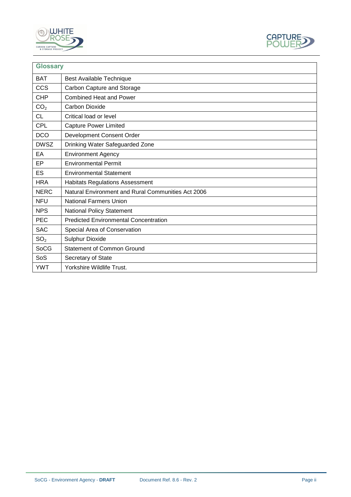



| <b>Glossary</b> |                                                    |
|-----------------|----------------------------------------------------|
| <b>BAT</b>      | <b>Best Available Technique</b>                    |
| <b>CCS</b>      | Carbon Capture and Storage                         |
| <b>CHP</b>      | <b>Combined Heat and Power</b>                     |
| CO <sub>2</sub> | <b>Carbon Dioxide</b>                              |
| <b>CL</b>       | Critical load or level                             |
| <b>CPL</b>      | <b>Capture Power Limited</b>                       |
| <b>DCO</b>      | Development Consent Order                          |
| <b>DWSZ</b>     | Drinking Water Safeguarded Zone                    |
| EA              | <b>Environment Agency</b>                          |
| EP              | <b>Environmental Permit</b>                        |
| ES              | <b>Environmental Statement</b>                     |
| <b>HRA</b>      | <b>Habitats Regulations Assessment</b>             |
| <b>NERC</b>     | Natural Environment and Rural Communities Act 2006 |
| <b>NFU</b>      | <b>National Farmers Union</b>                      |
| <b>NPS</b>      | <b>National Policy Statement</b>                   |
| <b>PEC</b>      | <b>Predicted Environmental Concentration</b>       |
| <b>SAC</b>      | Special Area of Conservation                       |
| SO <sub>2</sub> | Sulphur Dioxide                                    |
| SoCG            | <b>Statement of Common Ground</b>                  |
| SoS             | Secretary of State                                 |
| <b>YWT</b>      | Yorkshire Wildlife Trust.                          |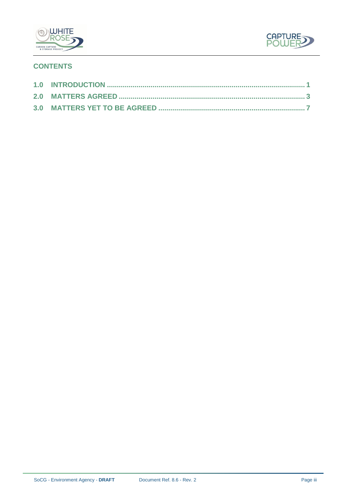



## **CONTENTS**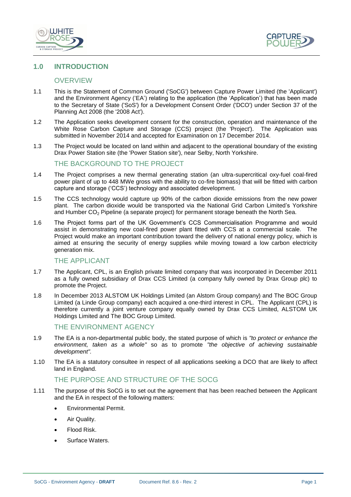



#### <span id="page-4-0"></span>**1.0 INTRODUCTION**

#### **OVERVIEW**

- 1.1 This is the Statement of Common Ground ('SoCG') between Capture Power Limited (the 'Applicant') and the Environment Agency ('EA') relating to the application (the 'Application') that has been made to the Secretary of State ('SoS') for a Development Consent Order ('DCO') under Section 37 of the Planning Act 2008 (the '2008 Act').
- 1.2 The Application seeks development consent for the construction, operation and maintenance of the White Rose Carbon Capture and Storage (CCS) project (the 'Project'). The Application was submitted in November 2014 and accepted for Examination on 17 December 2014.
- 1.3 The Project would be located on land within and adjacent to the operational boundary of the existing Drax Power Station site (the 'Power Station site'), near Selby, North Yorkshire.

#### THE BACKGROUND TO THE PROJECT

- 1.4 The Project comprises a new thermal generating station (an ultra-supercritical oxy-fuel coal-fired power plant of up to 448 MWe gross with the ability to co-fire biomass) that will be fitted with carbon capture and storage ('CCS') technology and associated development.
- 1.5 The CCS technology would capture up 90% of the carbon dioxide emissions from the new power plant. The carbon dioxide would be transported via the National Grid Carbon Limited's Yorkshire and Humber  $CO<sub>2</sub>$  Pipeline (a separate project) for permanent storage beneath the North Sea.
- 1.6 The Project forms part of the UK Government's CCS Commercialisation Programme and would assist in demonstrating new coal-fired power plant fitted with CCS at a commercial scale. The Project would make an important contribution toward the delivery of national energy policy, which is aimed at ensuring the security of energy supplies while moving toward a low carbon electricity generation mix.

#### THE APPLICANT

- 1.7 The Applicant, CPL, is an English private limited company that was incorporated in December 2011 as a fully owned subsidiary of Drax CCS Limited (a company fully owned by Drax Group plc) to promote the Project.
- 1.8 In December 2013 ALSTOM UK Holdings Limited (an Alstom Group company) and The BOC Group Limited (a Linde Group company) each acquired a one-third interest in CPL. The Applicant (CPL) is therefore currently a joint venture company equally owned by Drax CCS Limited, ALSTOM UK Holdings Limited and The BOC Group Limited.

#### THE ENVIRONMENT AGENCY

- 1.9 The EA is a non-departmental public body, the stated purpose of which is *"to protect or enhance the environment, taken as a whole"* so as to promote *"the objective of achieving sustainable development".*
- 1.10 The EA is a statutory consultee in respect of all applications seeking a DCO that are likely to affect land in England.

## THE PURPOSE AND STRUCTURE OF THE SOCG

- 1.11 The purpose of this SoCG is to set out the agreement that has been reached between the Applicant and the EA in respect of the following matters:
	- Environmental Permit.
	- Air Quality.
	- Flood Risk.
	- Surface Waters.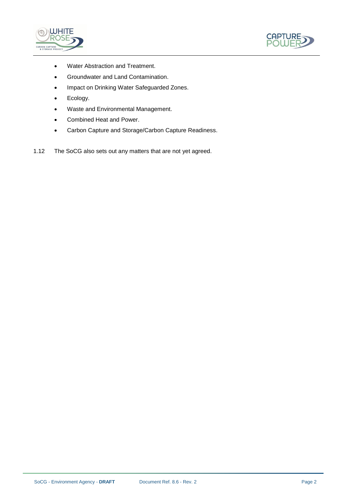



- Water Abstraction and Treatment.
- Groundwater and Land Contamination.
- Impact on Drinking Water Safeguarded Zones.
- Ecology.
- Waste and Environmental Management.
- Combined Heat and Power.
- Carbon Capture and Storage/Carbon Capture Readiness.
- 1.12 The SoCG also sets out any matters that are not yet agreed.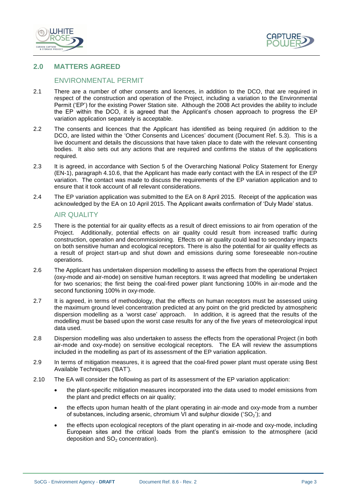



#### **2.0 MATTERS AGREED**

#### <span id="page-6-0"></span>ENVIRONMENTAL PERMIT

- 2.1 There are a number of other consents and licences, in addition to the DCO, that are required in respect of the construction and operation of the Project, including a variation to the Environmental Permit ('EP') for the existing Power Station site. Although the 2008 Act provides the ability to include the EP within the DCO, it is agreed that the Applicant's chosen approach to progress the EP variation application separately is acceptable.
- 2.2 The consents and licences that the Applicant has identified as being required (in addition to the DCO, are listed within the 'Other Consents and Licences' document (Document Ref. 5.3). This is a live document and details the discussions that have taken place to date with the relevant consenting bodies. It also sets out any actions that are required and confirms the status of the applications required.
- 2.3 It is agreed, in accordance with Section 5 of the Overarching National Policy Statement for Energy (EN-1), paragraph 4.10.6, that the Applicant has made early contact with the EA in respect of the EP variation. The contact was made to discuss the requirements of the EP variation application and to ensure that it took account of all relevant considerations.
- 2.4 The EP variation application was submitted to the EA on 8 April 2015. Receipt of the application was acknowledged by the EA on 10 April 2015. The Applicant awaits confirmation of 'Duly Made' status.

#### AIR QUALITY

- 2.5 There is the potential for air quality effects as a result of direct emissions to air from operation of the Project. Additionally, potential effects on air quality could result from increased traffic during construction, operation and decommissioning. Effects on air quality could lead to secondary impacts on both sensitive human and ecological receptors. There is also the potential for air quality effects as a result of project start-up and shut down and emissions during some foreseeable non-routine operations.
- 2.6 The Applicant has undertaken dispersion modelling to assess the effects from the operational Project (oxy-mode and air-mode) on sensitive human receptors. It was agreed that modelling be undertaken for two scenarios; the first being the coal-fired power plant functioning 100% in air-mode and the second functioning 100% in oxy-mode.
- 2.7 It is agreed, in terms of methodology, that the effects on human receptors must be assessed using the maximum ground level concentration predicted at any point on the grid predicted by atmospheric dispersion modelling as a 'worst case' approach. In addition, it is agreed that the results of the modelling must be based upon the worst case results for any of the five years of meteorological input data used.
- 2.8 Dispersion modelling was also undertaken to assess the effects from the operational Project (in both air-mode and oxy-mode) on sensitive ecological receptors. The EA will review the assumptions included in the modelling as part of its assessment of the EP variation application.
- 2.9 In terms of mitigation measures, it is agreed that the coal-fired power plant must operate using Best Available Techniques ('BAT').
- 2.10 The EA will consider the following as part of its assessment of the EP variation application:
	- the plant-specific mitigation measures incorporated into the data used to model emissions from the plant and predict effects on air quality;
	- the effects upon human health of the plant operating in air-mode and oxy-mode from a number of substances, including arsenic, chromium VI and sulphur dioxide ( $SO<sub>2</sub>$ ); and
	- the effects upon ecological receptors of the plant operating in air-mode and oxy-mode, including European sites and the critical loads from the plant's emission to the atmosphere (acid deposition and  $SO<sub>2</sub>$  concentration).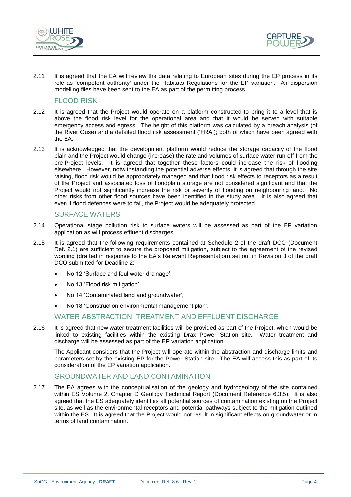



2.11 It is agreed that the EA will review the data relating to European sites during the EP process in its role as 'competent authority' under the Habitats Regulations for the EP variation. Air dispersion modelling files have been sent to the EA as part of the permitting process.

#### FLOOD RISK

- 2.12 It is agreed that the Project would operate on a platform constructed to bring it to a level that is above the flood risk level for the operational area and that it would be served with suitable emergency access and egress. The height of this platform was calculated by a breach analysis (of the River Ouse) and a detailed flood risk assessment ('FRA'); both of which have been agreed with the EA.
- 2.13 It is acknowledged that the development platform would reduce the storage capacity of the flood plain and the Project would change (increase) the rate and volumes of surface water run-off from the pre-Project levels. It is agreed that together these factors could increase the risk of flooding elsewhere. However, notwithstanding the potential adverse effects, it is agreed that through the site raising, flood risk would be appropriately managed and that flood risk effects to receptors as a result of the Project and associated loss of floodplain storage are not considered significant and that the Project would not significantly increase the risk or severity of flooding on neighbouring land. No other risks from other flood sources have been identified in the study area. It is also agreed that even if flood defences were to fail, the Project would be adequately protected.

#### SURFACE WATERS

- 2.14 Operational stage pollution risk to surface waters will be assessed as part of the EP variation application as will process effluent discharges.
- 2.15 It is agreed that the following requirements contained at Schedule 2 of the draft DCO (Document Ref. 2.1) are sufficient to secure the proposed mitigation, subject to the agreement of the revised wording (drafted in response to the EA's Relevant Representation) set out in Revision 3 of the draft DCO submitted for Deadline 2:
	- No.12 'Surface and foul water drainage',
	- No.13 'Flood risk mitigation',
	- No.14 'Contaminated land and groundwater',
	- No.18 'Construction environmental management plan'.

#### WATER ABSTRACTION, TREATMENT AND EFFLUENT DISCHARGE

2.16 It is agreed that new water treatment facilities will be provided as part of the Project, which would be linked to existing facilities within the existing Drax Power Station site. Water treatment and discharge will be assessed as part of the EP variation application.

The Applicant considers that the Project will operate within the abstraction and discharge limits and parameters set by the existing EP for the Power Station site. The EA will assess this as part of its consideration of the EP variation application.

#### GROUNDWATER AND LAND CONTAMINATION

2.17 The EA agrees with the conceptualisation of the geology and hydrogeology of the site contained within ES Volume 2, Chapter D Geology Technical Report (Document Reference 6.3.5). It is also agreed that the ES adequately identifies all potential sources of contamination existing on the Project site, as well as the environmental receptors and potential pathways subject to the mitigation outlined within the ES. It is agreed that the Project would not result in significant effects on groundwater or in terms of land contamination.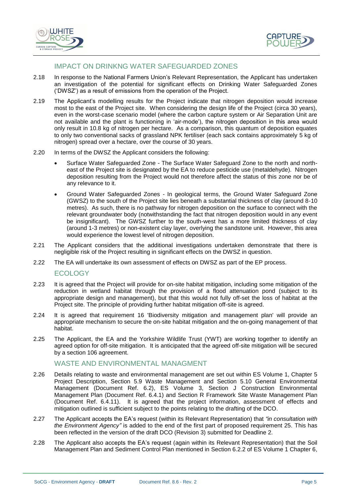



## IMPACT ON DRINKNG WATER SAFEGUARDED ZONES

- 2.18 In response to the National Farmers Union's Relevant Representation, the Applicant has undertaken an investigation of the potential for significant effects on Drinking Water Safeguarded Zones ('DWSZ') as a result of emissions from the operation of the Project.
- 2.19 The Applicant's modelling results for the Project indicate that nitrogen deposition would increase most to the east of the Project site. When considering the design life of the Project (circa 30 years), even in the worst-case scenario model (where the carbon capture system or Air Separation Unit are not available and the plant is functioning in 'air-mode'), the nitrogen deposition in this area would only result in 10.8 kg of nitrogen per hectare. As a comparison, this quantum of deposition equates to only two conventional sacks of grassland NPK fertiliser (each sack contains approximately 5 kg of nitrogen) spread over a hectare, over the course of 30 years.
- 2.20 In terms of the DWSZ the Applicant considers the following:
	- Surface Water Safeguarded Zone *-* The Surface Water Safeguard Zone to the north and northeast of the Project site is designated by the EA to reduce pesticide use (metaldehyde). Nitrogen deposition resulting from the Project would not therefore affect the status of this zone nor be of any relevance to it.
	- Ground Water Safeguarded Zones *-* In geological terms, the Ground Water Safeguard Zone (GWSZ) to the south of the Project site lies beneath a substantial thickness of clay (around 8-10 metres). As such, there is no pathway for nitrogen deposition on the surface to connect with the relevant groundwater body (notwithstanding the fact that nitrogen deposition would in any event be insignificant). The GWSZ further to the south-west has a more limited thickness of clay (around 1-3 metres) or non-existent clay layer, overlying the sandstone unit. However, this area would experience the lowest level of nitrogen deposition.
- 2.21 The Applicant considers that the additional investigations undertaken demonstrate that there is negligible risk of the Project resulting in significant effects on the DWSZ in question.
- 2.22 The EA will undertake its own assessment of effects on DWSZ as part of the EP process.

ECOLOGY

- 2.23 It is agreed that the Project will provide for on-site habitat mitigation, including some mitigation of the reduction in wetland habitat through the provision of a flood attenuation pond (subject to its appropriate design and management), but that this would not fully off-set the loss of habitat at the Project site. The principle of providing further habitat mitigation off-site is agreed.
- 2.24 It is agreed that requirement 16 'Biodiversity mitigation and management plan' will provide an appropriate mechanism to secure the on-site habitat mitigation and the on-going management of that habitat.
- 2.25 The Applicant, the EA and the Yorkshire Wildlife Trust (YWT) are working together to identify an agreed option for off-site mitigation. It is anticipated that the agreed off-site mitigation will be secured by a section 106 agreement.

#### WASTE AND ENVIRONMENTAL MANAGMENT

- 2.26 Details relating to waste and environmental management are set out within ES Volume 1, Chapter 5 Project Description, Section 5.9 Waste Management and Section 5.10 General Environmental Management (Document Ref. 6.2), ES Volume 3, Section J Construction Environmental Management Plan (Document Ref. 6.4.1) and Section R Framework Site Waste Management Plan (Document Ref. 6.4.11). It is agreed that the project information, assessment of effects and mitigation outlined is sufficient subject to the points relating to the drafting of the DCO.
- 2.27 The Applicant accepts the EA's request (within its Relevant Representation) that *"in consultation with the Environment Agency"* is added to the end of the first part of proposed requirement 25. This has been reflected in the version of the draft DCO (Revision 3) submitted for Deadline 2.
- 2.28 The Applicant also accepts the EA's request (again within its Relevant Representation) that the Soil Management Plan and Sediment Control Plan mentioned in Section 6.2.2 of ES Volume 1 Chapter 6,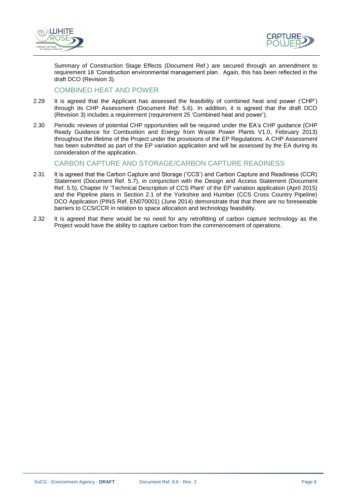



Summary of Construction Stage Effects (Document Ref.) are secured through an amendment to requirement 18 'Construction environmental management plan. Again, this has been reflected in the draft DCO (Revision 3).

## COMBINED HEAT AND POWER

- 2.29 It is agreed that the Applicant has assessed the feasibility of combined heat and power ('CHP') through its CHP Assessment (Document Ref: 5.6). In addition, it is agreed that the draft DCO (Revision 3) includes a requirement (requirement 25 'Combined heat and power').
- 2.30 Periodic reviews of potential CHP opportunities will be required under the EA's CHP guidance (CHP Ready Guidance for Combustion and Energy from Waste Power Plants V1.0, February 2013) throughout the lifetime of the Project under the provisions of the EP Regulations. A CHP Assessment has been submitted as part of the EP variation application and will be assessed by the EA during its consideration of the application.

#### CARBON CAPTURE AND STORAGE/CARBON CAPTURE READINESS

- 2.31 It is agreed that the Carbon Capture and Storage ('CCS') and Carbon Capture and Readiness (CCR) Statement (Document Ref. 5.7), in conjunction with the Design and Access Statement (Document Ref. 5.5), Chapter IV 'Technical Description of CCS Plant' of the EP variation application (April 2015) and the Pipeline plans in Section 2.1 of the Yorkshire and Humber (CCS Cross Country Pipeline) DCO Application (PINS Ref. EN070001) (June 2014) demonstrate that that there are no foreseeable barriers to CCS/CCR in relation to space allocation and technology feasibility.
- 2.32 It is agreed that there would be no need for any retrofitting of carbon capture technology as the Project would have the ability to capture carbon from the commencement of operations.